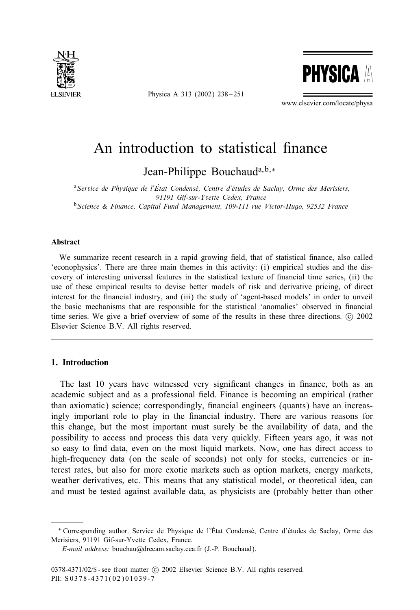

Physica A 313 (2002) 238-251



www.elsevier.com/locate/physa

# An introduction to statistical finance

Jean-Philippe Bouchaud<sup>a, b,∗</sup>

<sup>a</sup> Service de Physique de l'État Condensé, Centre d'études de Saclay, Orme des Merisiers, *91191 Gif-sur-Yvette Cedex, France* <sup>b</sup>*Science & Finance, Capital Fund Management, 109-111 rue Victor-Hugo, 92532 France*

#### Abstract

We summarize recent research in a rapid growing field, that of statistical finance, also called 'econophysics'. There are three main themes in this activity: (i) empirical studies and the discovery of interesting universal features in the statistical texture of nancial time series, (ii) the use of these empirical results to devise better models of risk and derivative pricing, of direct interest for the financial industry, and (iii) the study of 'agent-based models' in order to unveil the basic mechanisms that are responsible for the statistical 'anomalies' observed in financial time series. We give a brief overview of some of the results in these three directions. © 2002 Elsevier Science B.V. All rights reserved.

# 1. Introduction

The last 10 years have witnessed very significant changes in finance, both as an academic subject and as a professional field. Finance is becoming an empirical (rather than axiomatic) science; correspondingly, financial engineers (quants) have an increasingly important role to play in the nancial industry. There are various reasons for this change, but the most important must surely be the availability of data, and the possibility to access and process this data very quickly. Fifteen years ago, it was not so easy to find data, even on the most liquid markets. Now, one has direct access to high-frequency data (on the scale of seconds) not only for stocks, currencies or interest rates, but also for more exotic markets such as option markets, energy markets, weather derivatives, etc. This means that any statistical model, or theoretical idea, can and must be tested against available data, as physicists are (probably better than other

<sup>∗</sup> Corresponding author. Service de Physique de l'Etat Condens9 9 e, Centre d'9etudes de Saclay, Orme des Merisiers, 91191 Gif-sur-Yvette Cedex, France.

*E-mail address:* bouchau@drecam.saclay.cea.fr (J.-P. Bouchaud).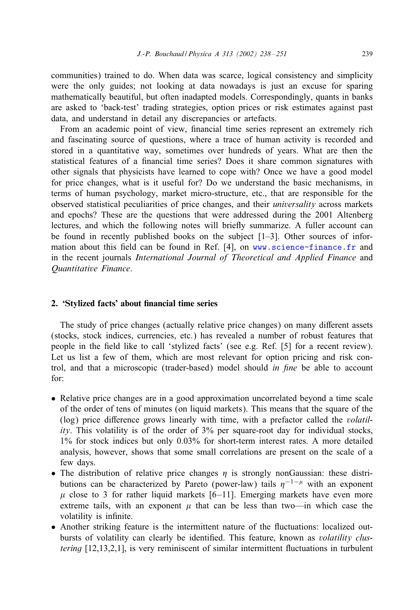communities) trained to do. When data was scarce, logical consistency and simplicity were the only guides; not looking at data nowadays is just an excuse for sparing mathematically beautiful, but often inadapted models. Correspondingly, quants in banks are asked to 'back-test' trading strategies, option prices or risk estimates against past data, and understand in detail any discrepancies or artefacts.

From an academic point of view, financial time series represent an extremely rich and fascinating source of questions, where a trace of human activity is recorded and stored in a quantitative way, sometimes over hundreds of years. What are then the statistical features of a financial time series? Does it share common signatures with other signals that physicists have learned to cope with? Once we have a good model for price changes, what is it useful for? Do we understand the basic mechanisms, in terms of human psychology, market micro-structure, etc., that are responsible for the observed statistical peculiarities of price changes, and their *universality* across markets and epochs? These are the questions that were addressed during the 2001 Altenberg lectures, and which the following notes will brieFy summarize. A fuller account can be found in recently published books on the subject  $[1-3]$ . Other sources of information about this field can be found in Ref.  $[4]$ , on [www.science-finance.fr](http://www.science-finance.fr) and in the recent journals *International Journal of Theoretical and Applied Finance* and *Quantitative Finance*.

# 2. 'Stylized facts' about financial time series

The study of price changes (actually relative price changes) on many different assets (stocks, stock indices, currencies, etc.) has revealed a number of robust features that people in the field like to call 'stylized facts' (see e.g. Ref.  $[5]$  for a recent review). Let us list a few of them, which are most relevant for option pricing and risk control, and that a microscopic (trader-based) model should *in fine* be able to account for:

- Relative price changes are in a good approximation uncorrelated beyond a time scale of the order of tens of minutes (on liquid markets). This means that the square of the (log) price difference grows linearly with time, with a prefactor called the *volatility*. This volatility is of the order of 3% per square-root day for individual stocks, 1% for stock indices but only 0.03% for short-term interest rates. A more detailed analysis, however, shows that some small correlations are present on the scale of a few days.
- The distribution of relative price changes  $\eta$  is strongly nonGaussian: these distributions can be characterized by Pareto (power-law) tails  $\eta^{-1-\mu}$  with an exponent  $\mu$  close to 3 for rather liquid markets [6-11]. Emerging markets have even more extreme tails, with an exponent  $\mu$  that can be less than two—in which case the volatility is infinite.
- Another striking feature is the intermittent nature of the Fuctuations: localized outbursts of volatility can clearly be identified. This feature, known as *volatility clustering* [12,13,2,1], is very reminiscent of similar intermittent fluctuations in turbulent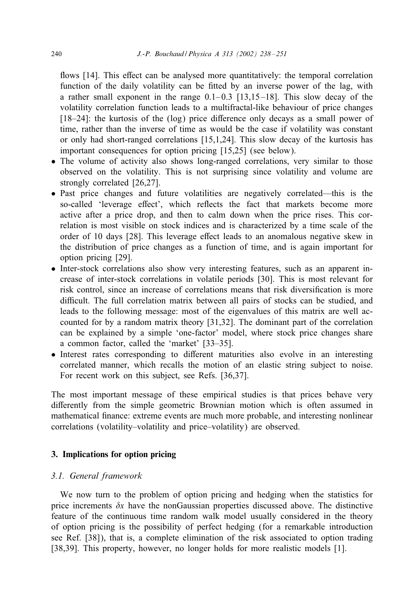flows [14]. This effect can be analysed more quantitatively: the temporal correlation function of the daily volatility can be fitted by an inverse power of the lag, with a rather small exponent in the range  $0.1-0.3$  [13,15-18]. This slow decay of the volatility correlation function leads to a multifractal-like behaviour of price changes  $[18–24]$ : the kurtosis of the  $(log)$  price difference only decays as a small power of time, rather than the inverse of time as would be the case if volatility was constant or only had short-ranged correlations [15,1,24]. This slow decay of the kurtosis has important consequences for option pricing [15,25] (see below).

- The volume of activity also shows long-ranged correlations, very similar to those observed on the volatility. This is not surprising since volatility and volume are strongly correlated [26,27].
- Past price changes and future volatilities are negatively correlated—this is the so-called 'leverage effect', which reflects the fact that markets become more active after a price drop, and then to calm down when the price rises. This correlation is most visible on stock indices and is characterized by a time scale of the order of 10 days [28]. This leverage effect leads to an anomalous negative skew in the distribution of price changes as a function of time, and is again important for option pricing [29].
- Inter-stock correlations also show very interesting features, such as an apparent increase of inter-stock correlations in volatile periods [30]. This is most relevant for risk control, since an increase of correlations means that risk diversification is more difficult. The full correlation matrix between all pairs of stocks can be studied, and leads to the following message: most of the eigenvalues of this matrix are well accounted for by a random matrix theory [31,32]. The dominant part of the correlation can be explained by a simple 'one-factor' model, where stock price changes share a common factor, called the 'market' [33–35].
- Interest rates corresponding to different maturities also evolve in an interesting correlated manner, which recalls the motion of an elastic string subject to noise. For recent work on this subject, see Refs. [36,37].

The most important message of these empirical studies is that prices behave very differently from the simple geometric Brownian motion which is often assumed in mathematical finance: extreme events are much more probable, and interesting nonlinear correlations (volatility–volatility and price–volatility) are observed.

# 3. Implications for option pricing

### *3.1. General framework*

We now turn to the problem of option pricing and hedging when the statistics for price increments  $\delta x$  have the nonGaussian properties discussed above. The distinctive feature of the continuous time random walk model usually considered in the theory of option pricing is the possibility of perfect hedging (for a remarkable introduction see Ref. [38]), that is, a complete elimination of the risk associated to option trading [38,39]. This property, however, no longer holds for more realistic models [1].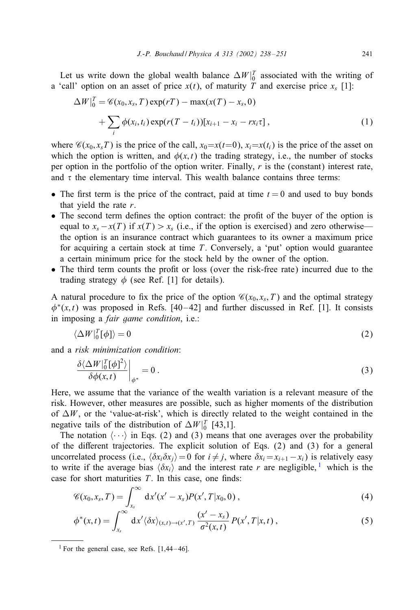Let us write down the global wealth balance  $\Delta W|_0^T$  associated with the writing of a 'call' option on an asset of price  $x(t)$ , of maturity T and exercise price  $x_s$  [1]:

$$
\Delta W\Big|_{0}^{T} = \mathscr{C}(x_{0}, x_{s}, T) \exp(rT) - \max(x(T) - x_{s}, 0) + \sum_{i} \phi(x_{i}, t_{i}) \exp(r(T - t_{i}))[x_{i+1} - x_{i} - rx_{i}\tau], \tag{1}
$$

where  $\mathscr{C}(x_0, x_s)$  is the price of the call,  $x_0 = x(t=0)$ ,  $x_i = x(t_i)$  is the price of the asset on which the option is written, and  $\phi(x, t)$  the trading strategy, i.e., the number of stocks per option in the portfolio of the option writer. Finally,  $r$  is the (constant) interest rate, and  $\tau$  the elementary time interval. This wealth balance contains three terms:

- The first term is the price of the contract, paid at time  $t = 0$  and used to buy bonds that yield the rate  $r$ .
- The second term defines the option contract: the profit of the buyer of the option is equal to  $x_s - x(T)$  if  $x(T) > x_s$  (i.e., if the option is exercised) and zero otherwise the option is an insurance contract which guarantees to its owner a maximum price for acquiring a certain stock at time  $T$ . Conversely, a 'put' option would guarantee a certain minimum price for the stock held by the owner of the option.
- The third term counts the profit or loss (over the risk-free rate) incurred due to the trading strategy  $\phi$  (see Ref. [1] for details).

A natural procedure to fix the price of the option  $\mathcal{C}(x_0, x_s, T)$  and the optimal strategy  $\phi^*(x, t)$  was proposed in Refs. [40-42] and further discussed in Ref. [1]. It consists in imposing a *fair game condition*, i.e.:

$$
\langle \Delta W|_0^T[\phi] \rangle = 0 \tag{2}
$$

and a *risk minimization condition*:

$$
\left. \frac{\delta \langle \Delta W|_0^T [\phi]^2 \rangle}{\delta \phi(x,t)} \right|_{\phi^*} = 0 \,. \tag{3}
$$

Here, we assume that the variance of the wealth variation is a relevant measure of the risk. However, other measures are possible, such as higher moments of the distribution of  $\Delta W$ , or the 'value-at-risk', which is directly related to the weight contained in the negative tails of the distribution of  $\Delta W$   $|_0^T$  [43,1].

The notation  $\langle \cdots \rangle$  in Eqs. (2) and (3) means that one averages over the probability of the different trajectories. The explicit solution of Eqs.  $(2)$  and  $(3)$  for a general uncorrelated process (i.e.,  $\langle \delta x_i \delta x_j \rangle = 0$  for  $i \neq j$ , where  $\delta x_i = x_{i+1} - x_i$ ) is relatively easy to write if the average bias  $\langle \delta x_i \rangle$  and the interest rate r are negligible, <sup>1</sup> which is the case for short maturities  $T$ . In this case, one finds:

$$
\mathscr{C}(x_0,x_s,T)=\int_{x_s}^{\infty} dx'(x'-x_s)P(x',T|x_0,0)\,,\tag{4}
$$

$$
\phi^*(x,t) = \int_{x_s}^{\infty} dx' \langle \delta x \rangle_{(x,t)\to(x',T)} \frac{(x'-x_s)}{\sigma^2(x,t)} P(x',T|x,t) , \qquad (5)
$$

<sup>&</sup>lt;sup>1</sup> For the general case, see Refs.  $[1,44-46]$ .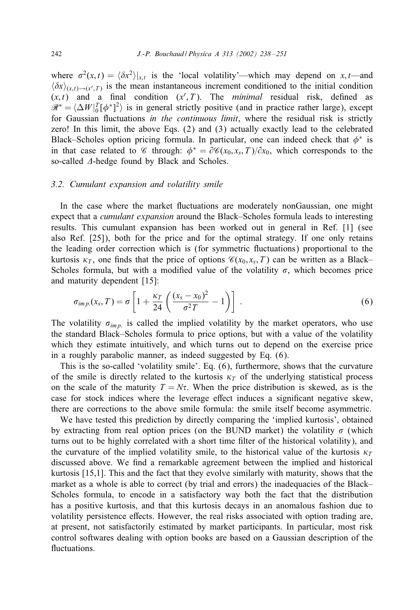where  $\sigma^2(x,t) = \langle \delta x^2 \rangle |_{x,t}$  is the 'local volatility'—which may depend on x,t—and  $\langle \delta x \rangle_{(x,t) \to (x',T)}$  is the mean instantaneous increment conditioned to the initial condition  $(x, t)$  and a final condition  $(x', T)$ . The *minimal* residual risk, defined as  $\mathcal{R}^* = \langle \Delta W |_{0}^{T} [\phi^*]^2 \rangle$  is in general strictly positive (and in practice rather large), except for Gaussian Fuctuations *in the continuous limit*, where the residual risk is strictly zero! In this limit, the above Eqs. (2) and (3) actually exactly lead to the celebrated Black–Scholes option pricing formula. In particular, one can indeed check that  $\phi^*$  is in that case related to *C* through:  $\phi^* = \partial C(x_0, x_s, T)/\partial x_0$ , which corresponds to the so-called  $\Delta$ -hedge found by Black and Scholes.

#### *3.2. Cumulant expansion and volatility smile*

In the case where the market Fuctuations are moderately nonGaussian, one might expect that a *cumulant expansion* around the Black–Scholes formula leads to interesting results. This cumulant expansion has been worked out in general in Ref. [1] (see also Ref. [25]), both for the price and for the optimal strategy. If one only retains the leading order correction which is (for symmetric Fuctuations) proportional to the kurtosis  $\kappa_T$ , one finds that the price of options  $\mathcal{C}(x_0, x_s, T)$  can be written as a Black– Scholes formula, but with a modified value of the volatility  $\sigma$ , which becomes price and maturity dependent [15]:

$$
\sigma_{imp.}(x_s, T) = \sigma \left[ 1 + \frac{\kappa_T}{24} \left( \frac{(x_s - x_0)^2}{\sigma^2 T} - 1 \right) \right] \,. \tag{6}
$$

The volatility  $\sigma_{imp}$  is called the implied volatility by the market operators, who use the standard Black–Scholes formula to price options, but with a value of the volatility which they estimate intuitively, and which turns out to depend on the exercise price in a roughly parabolic manner, as indeed suggested by Eq. (6).

This is the so-called 'volatility smile'. Eq. (6), furthermore, shows that the curvature of the smile is directly related to the kurtosis  $\kappa_T$  of the underlying statistical process on the scale of the maturity  $T = N\tau$ . When the price distribution is skewed, as is the case for stock indices where the leverage effect induces a significant negative skew, there are corrections to the above smile formula: the smile itself become asymmetric.

We have tested this prediction by directly comparing the 'implied kurtosis', obtained by extracting from real option prices (on the BUND market) the volatility  $\sigma$  (which turns out to be highly correlated with a short time filter of the historical volatility), and the curvature of the implied volatility smile, to the historical value of the kurtosis  $\kappa_T$ discussed above. We find a remarkable agreement between the implied and historical kurtosis [15,1]. This and the fact that they evolve similarly with maturity, shows that the market as a whole is able to correct (by trial and errors) the inadequacies of the Black– Scholes formula, to encode in a satisfactory way both the fact that the distribution has a positive kurtosis, and that this kurtosis decays in an anomalous fashion due to volatility persistence effects. However, the real risks associated with option trading are, at present, not satisfactorily estimated by market participants. In particular, most risk control softwares dealing with option books are based on a Gaussian description of the fluctuations.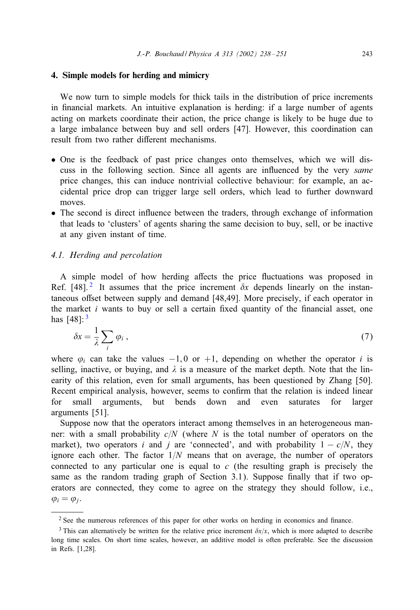#### 4. Simple models for herding and mimicry

We now turn to simple models for thick tails in the distribution of price increments in financial markets. An intuitive explanation is herding: if a large number of agents acting on markets coordinate their action, the price change is likely to be huge due to a large imbalance between buy and sell orders [47]. However, this coordination can result from two rather different mechanisms.

- One is the feedback of past price changes onto themselves, which we will discuss in the following section. Since all agents are inFuenced by the very *same* price changes, this can induce nontrivial collective behaviour: for example, an accidental price drop can trigger large sell orders, which lead to further downward moves.
- The second is direct influence between the traders, through exchange of information that leads to 'clusters' of agents sharing the same decision to buy, sell, or be inactive at any given instant of time.

# *4.1. Herding and percolation*

A simple model of how herding affects the price fluctuations was proposed in Ref. [48].<sup>2</sup> It assumes that the price increment  $\delta x$  depends linearly on the instantaneous offset between supply and demand [48,49]. More precisely, if each operator in the market  $i$  wants to buy or sell a certain fixed quantity of the financial asset, one has  $[48]$ :  $3$ 

$$
\delta x = \frac{1}{\lambda} \sum_{i} \varphi_i \,, \tag{7}
$$

where  $\varphi_i$  can take the values  $-1, 0$  or  $+1$ , depending on whether the operator i is selling, inactive, or buying, and  $\lambda$  is a measure of the market depth. Note that the linearity of this relation, even for small arguments, has been questioned by Zhang [50]. Recent empirical analysis, however, seems to confirm that the relation is indeed linear for small arguments, but bends down and even saturates for larger arguments [51].

Suppose now that the operators interact among themselves in an heterogeneous manner: with a small probability  $c/N$  (where N is the total number of operators on the market), two operators i and j are 'connected', and with probability  $1 - c/N$ , they ignore each other. The factor  $1/N$  means that on average, the number of operators connected to any particular one is equal to  $c$  (the resulting graph is precisely the same as the random trading graph of Section 3.1). Suppose finally that if two operators are connected, they come to agree on the strategy they should follow, i.e.,  $\varphi_i = \varphi_i$ .

 $2$  See the numerous references of this paper for other works on herding in economics and finance.

<sup>&</sup>lt;sup>3</sup> This can alternatively be written for the relative price increment  $\delta x/x$ , which is more adapted to describe long time scales. On short time scales, however, an additive model is often preferable. See the discussion in Refs. [1,28].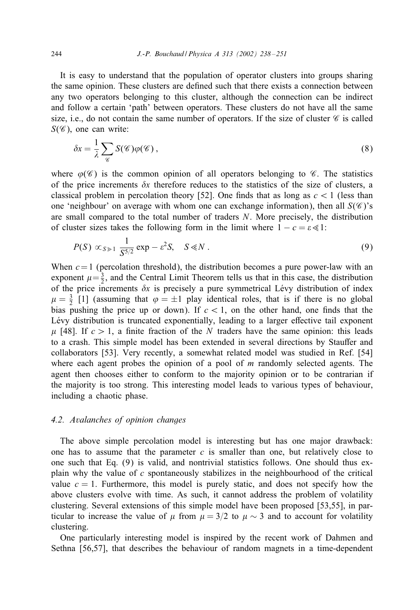It is easy to understand that the population of operator clusters into groups sharing the same opinion. These clusters are defined such that there exists a connection between any two operators belonging to this cluster, although the connection can be indirect and follow a certain 'path' between operators. These clusters do not have all the same size, i.e., do not contain the same number of operators. If the size of cluster  $\mathscr C$  is called  $S(\mathscr{C})$ , one can write:

$$
\delta x = \frac{1}{\lambda} \sum_{\mathscr{C}} S(\mathscr{C}) \varphi(\mathscr{C}), \qquad (8)
$$

where  $\varphi(\mathscr{C})$  is the common opinion of all operators belonging to  $\mathscr{C}$ . The statistics of the price increments  $\delta x$  therefore reduces to the statistics of the size of clusters, a classical problem in percolation theory [52]. One finds that as long as  $c < 1$  (less than one 'neighbour' on average with whom one can exchange information), then all  $S(\mathscr{C})$ 's are small compared to the total number of traders N. More precisely, the distribution of cluster sizes takes the following form in the limit where  $1 - c = \epsilon \ll 1$ :

$$
P(S) \propto_{S \geq 1} \frac{1}{S^{5/2}} \exp - \varepsilon^2 S, \quad S \ll N \ . \tag{9}
$$

When  $c=1$  (percolation threshold), the distribution becomes a pure power-law with an exponent  $\mu = \frac{3}{2}$ , and the Central Limit Theorem tells us that in this case, the distribution of the price increments  $\delta x$  is precisely a pure symmetrical Lévy distribution of index  $\mu = \frac{3}{2}$  [1] (assuming that  $\varphi = \pm 1$  play identical roles, that is if there is no global bias pushing the price up or down). If  $c < 1$ , on the other hand, one finds that the Lévy distribution is truncated exponentially, leading to a larger effective tail exponent  $\mu$  [48]. If  $c > 1$ , a finite fraction of the N traders have the same opinion: this leads to a crash. This simple model has been extended in several directions by Stauffer and collaborators [53]. Very recently, a somewhat related model was studied in Ref. [54] where each agent probes the opinion of a pool of  $m$  randomly selected agents. The agent then chooses either to conform to the majority opinion or to be contrarian if the majority is too strong. This interesting model leads to various types of behaviour, including a chaotic phase.

#### *4.2. Avalanches of opinion changes*

The above simple percolation model is interesting but has one major drawback: one has to assume that the parameter  $c$  is smaller than one, but relatively close to one such that Eq. (9) is valid, and nontrivial statistics follows. One should thus explain why the value of  $c$  spontaneously stabilizes in the neighbourhood of the critical value  $c = 1$ . Furthermore, this model is purely static, and does not specify how the above clusters evolve with time. As such, it cannot address the problem of volatility clustering. Several extensions of this simple model have been proposed [53,55], in particular to increase the value of  $\mu$  from  $\mu = 3/2$  to  $\mu \sim 3$  and to account for volatility clustering.

One particularly interesting model is inspired by the recent work of Dahmen and Sethna [56,57], that describes the behaviour of random magnets in a time-dependent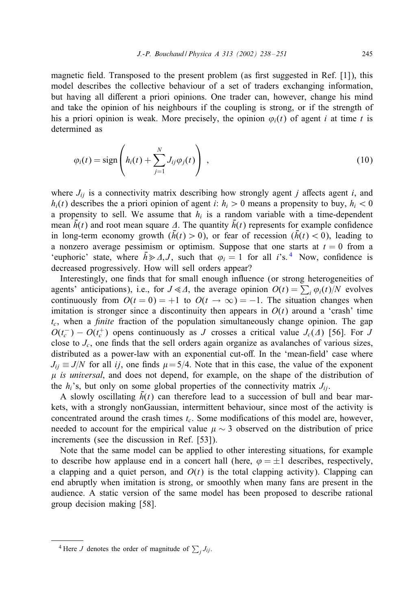magnetic field. Transposed to the present problem (as first suggested in Ref.  $[1]$ ), this model describes the collective behaviour of a set of traders exchanging information, but having all different a priori opinions. One trader can, however, change his mind and take the opinion of his neighbours if the coupling is strong, or if the strength of his a priori opinion is weak. More precisely, the opinion  $\varphi_i(t)$  of agent i at time t is determined as

$$
\varphi_i(t) = \text{sign}\left(h_i(t) + \sum_{j=1}^N J_{ij}\varphi_j(t)\right) ,\qquad(10)
$$

where  $J_{ij}$  is a connectivity matrix describing how strongly agent j affects agent i, and  $h_i(t)$  describes the a priori opinion of agent i:  $h_i > 0$  means a propensity to buy,  $h_i < 0$ a propensity to sell. We assume that  $h_i$  is a random variable with a time-dependent mean  $\bar{h}(t)$  and root mean square  $\Delta$ . The quantity  $\bar{h}(t)$  represents for example confidence in long-term economy growth  $(h(t) > 0)$ , or fear of recession  $(h(t) < 0)$ , leading to a nonzero average pessimism or optimism. Suppose that one starts at  $t = 0$  from a 'euphoric' state, where  $\bar{h} \ge \emptyset, J$ , such that  $\varphi_i = 1$  for all i's.<sup>4</sup> Now, confidence is decreased progressively. How will sell orders appear?

Interestingly, one finds that for small enough influence (or strong heterogeneities of agents' anticipations), i.e., for  $J \ll \Delta$ , the average opinion  $O(t) = \sum_i \varphi_i(t)/N$  evolves continuously from  $O(t = 0) = +1$  to  $O(t \rightarrow \infty) = -1$ . The situation changes when imitation is stronger since a discontinuity then appears in  $O(t)$  around a 'crash' time  $t_c$ , when a *finite* fraction of the population simultaneously change opinion. The gap  $O(t_c^-) - O(t_c^+)$  opens continuously as J crosses a critical value  $J_c(\Lambda)$  [56]. For J close to  $J_c$ , one finds that the sell orders again organize as avalanches of various sizes, distributed as a power-law with an exponential cut-off. In the 'mean-field' case where  $J_{ii} \equiv J/N$  for all ij, one finds  $\mu = 5/4$ . Note that in this case, the value of the exponent *is universal*, and does not depend, for example, on the shape of the distribution of the  $h_i$ 's, but only on some global properties of the connectivity matrix  $J_{ij}$ .

A slowly oscillating  $h(t)$  can therefore lead to a succession of bull and bear markets, with a strongly nonGaussian, intermittent behaviour, since most of the activity is concentrated around the crash times  $t_c$ . Some modifications of this model are, however, needed to account for the empirical value  $\mu \sim 3$  observed on the distribution of price increments (see the discussion in Ref. [53]).

Note that the same model can be applied to other interesting situations, for example to describe how applause end in a concert hall (here,  $\varphi = \pm 1$  describes, respectively, a clapping and a quiet person, and  $O(t)$  is the total clapping activity). Clapping can end abruptly when imitation is strong, or smoothly when many fans are present in the audience. A static version of the same model has been proposed to describe rational group decision making [58].

<sup>&</sup>lt;sup>4</sup> Here *J* denotes the order of magnitude of  $\sum_j J_{ij}$ .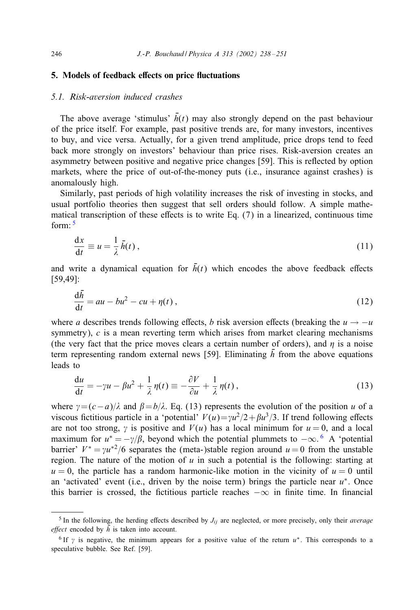# 5. Models of feedback effects on price fluctuations

# *5.1. Risk-aversion induced crashes*

The above average 'stimulus'  $\bar{h}(t)$  may also strongly depend on the past behaviour of the price itself. For example, past positive trends are, for many investors, incentives to buy, and vice versa. Actually, for a given trend amplitude, price drops tend to feed back more strongly on investors' behaviour than price rises. Risk-aversion creates an asymmetry between positive and negative price changes [59]. This is reFected by option markets, where the price of out-of-the-money puts (i.e., insurance against crashes) is anomalously high.

Similarly, past periods of high volatility increases the risk of investing in stocks, and usual portfolio theories then suggest that sell orders should follow. A simple mathematical transcription of these effects is to write Eq.  $(7)$  in a linearized, continuous time form: <sup>5</sup>

$$
\frac{\mathrm{d}x}{\mathrm{d}t} \equiv u = \frac{1}{\lambda} \bar{h}(t) \,, \tag{11}
$$

and write a dynamical equation for  $\bar{h}(t)$  which encodes the above feedback effects [59,49]:

$$
\frac{\mathrm{d}\bar{h}}{\mathrm{d}t} = au - bu^2 - cu + \eta(t) \,,\tag{12}
$$

where a describes trends following effects, b risk aversion effects (breaking the  $u \rightarrow -u$ symmetry), c is a mean reverting term which arises from market clearing mechanisms (the very fact that the price moves clears a certain number of orders), and  $\eta$  is a noise term representing random external news [59]. Eliminating  $\bar{h}$  from the above equations leads to

$$
\frac{du}{dt} = -\gamma u - \beta u^2 + \frac{1}{\lambda} \eta(t) \equiv -\frac{\partial V}{\partial u} + \frac{1}{\lambda} \eta(t) , \qquad (13)
$$

where  $\gamma = (c-a)/\lambda$  and  $\beta = b/\lambda$ . Eq. (13) represents the evolution of the position u of a viscous fictitious particle in a 'potential'  $V(u)=\gamma u^2/2+\beta u^3/3$ . If trend following effects are not too strong,  $\gamma$  is positive and  $V(u)$  has a local minimum for  $u = 0$ , and a local maximum for  $u^* = -\gamma/\beta$ , beyond which the potential plummets to  $-\infty$ . 6 A 'potential barrier'  $V^* = \gamma u^{*2}/6$  separates the (meta-)stable region around  $u = 0$  from the unstable region. The nature of the motion of  $u$  in such a potential is the following: starting at  $u = 0$ , the particle has a random harmonic-like motion in the vicinity of  $u = 0$  until an 'activated' event (i.e., driven by the noise term) brings the particle near  $u^*$ . Once this barrier is crossed, the fictitious particle reaches  $-\infty$  in finite time. In financial

 $5$  In the following, the herding effects described by  $J_{ij}$  are neglected, or more precisely, only their *average effect* encoded by  $\bar{h}$  is taken into account.

<sup>&</sup>lt;sup>6</sup> If  $\gamma$  is negative, the minimum appears for a positive value of the return  $u^*$ . This corresponds to a speculative bubble. See Ref. [59].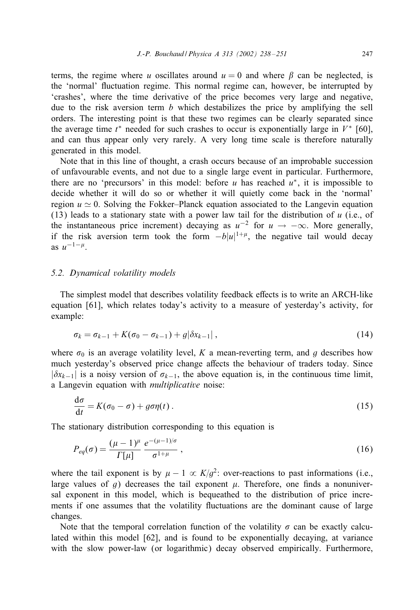terms, the regime where u oscillates around  $u = 0$  and where  $\beta$  can be neglected, is the 'normal' Fuctuation regime. This normal regime can, however, be interrupted by 'crashes', where the time derivative of the price becomes very large and negative, due to the risk aversion term b which destabilizes the price by amplifying the sell orders. The interesting point is that these two regimes can be clearly separated since the average time  $t^*$  needed for such crashes to occur is exponentially large in  $V^*$  [60], and can thus appear only very rarely. A very long time scale is therefore naturally generated in this model.

Note that in this line of thought, a crash occurs because of an improbable succession of unfavourable events, and not due to a single large event in particular. Furthermore, there are no 'precursors' in this model: before u has reached  $u^*$ , it is impossible to decide whether it will do so or whether it will quietly come back in the 'normal' region  $u \approx 0$ . Solving the Fokker–Planck equation associated to the Langevin equation (13) leads to a stationary state with a power law tail for the distribution of u (i.e., of the instantaneous price increment) decaying as  $u^{-2}$  for  $u \rightarrow -\infty$ . More generally, if the risk aversion term took the form  $-b|u|^{1+\mu}$ , the negative tail would decay as  $u^{-1-\mu}$ .

#### *5.2. Dynamical volatility models*

The simplest model that describes volatility feedback effects is to write an ARCH-like equation [61], which relates today's activity to a measure of yesterday's activity, for example:

$$
\sigma_k = \sigma_{k-1} + K(\sigma_0 - \sigma_{k-1}) + g|\delta x_{k-1}| \,, \tag{14}
$$

where  $\sigma_0$  is an average volatility level, K a mean-reverting term, and g describes how much yesterday's observed price change affects the behaviour of traders today. Since  $|\delta x_{k-1}|$  is a noisy version of  $\sigma_{k-1}$ , the above equation is, in the continuous time limit, a Langevin equation with *multiplicative* noise:

$$
\frac{d\sigma}{dt} = K(\sigma_0 - \sigma) + g\sigma\eta(t) \,. \tag{15}
$$

The stationary distribution corresponding to this equation is

$$
P_{eq}(\sigma) = \frac{(\mu - 1)^{\mu}}{\Gamma[\mu]} \frac{e^{-(\mu - 1)/\sigma}}{\sigma^{1 + \mu}}, \qquad (16)
$$

where the tail exponent is by  $\mu - 1 \propto K/q^2$ : over-reactions to past informations (i.e., large values of g) decreases the tail exponent  $\mu$ . Therefore, one finds a nonuniversal exponent in this model, which is bequeathed to the distribution of price increments if one assumes that the volatility Fuctuations are the dominant cause of large changes.

Note that the temporal correlation function of the volatility  $\sigma$  can be exactly calculated within this model [62], and is found to be exponentially decaying, at variance with the slow power-law (or logarithmic) decay observed empirically. Furthermore,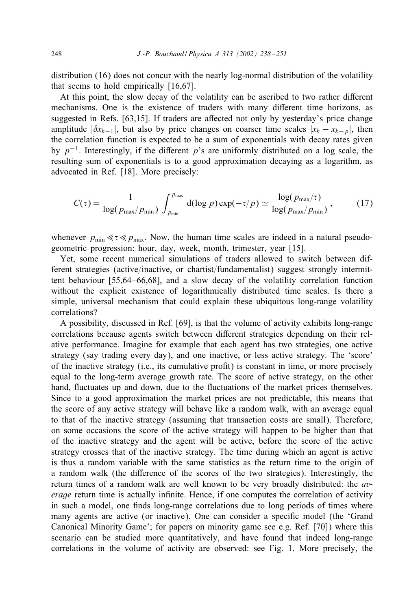distribution (16) does not concur with the nearly log-normal distribution of the volatility that seems to hold empirically [16,67].

At this point, the slow decay of the volatility can be ascribed to two rather different mechanisms. One is the existence of traders with many different time horizons, as suggested in Refs.  $[63,15]$ . If traders are affected not only by yesterday's price change amplitude  $|\delta x_{k-1}|$ , but also by price changes on coarser time scales  $|x_k - x_{k-p}|$ , then the correlation function is expected to be a sum of exponentials with decay rates given by  $p^{-1}$ . Interestingly, if the different p's are uniformly distributed on a log scale, the resulting sum of exponentials is to a good approximation decaying as a logarithm, as advocated in Ref. [18]. More precisely:

$$
C(\tau) = \frac{1}{\log(p_{\max}/p_{\min})} \int_{p_{\min}}^{p_{\max}} d(\log p) \exp(-\tau/p) \simeq \frac{\log(p_{\max}/\tau)}{\log(p_{\max}/p_{\min})},
$$
 (17)

whenever  $p_{\text{min}} \ll \epsilon \ll p_{\text{max}}$ . Now, the human time scales are indeed in a natural pseudogeometric progression: hour, day, week, month, trimester, year [15].

Yet, some recent numerical simulations of traders allowed to switch between different strategies (active/inactive, or chartist/fundamentalist) suggest strongly intermittent behaviour [55,64–66,68], and a slow decay of the volatility correlation function without the explicit existence of logarithmically distributed time scales. Is there a simple, universal mechanism that could explain these ubiquitous long-range volatility correlations?

A possibility, discussed in Ref. [69], is that the volume of activity exhibits long-range correlations because agents switch between different strategies depending on their relative performance. Imagine for example that each agent has two strategies, one active strategy (say trading every day), and one inactive, or less active strategy. The 'score' of the inactive strategy (i.e., its cumulative profit) is constant in time, or more precisely equal to the long-term average growth rate. The score of active strategy, on the other hand, Fuctuates up and down, due to the Fuctuations of the market prices themselves. Since to a good approximation the market prices are not predictable, this means that the score of any active strategy will behave like a random walk, with an average equal to that of the inactive strategy (assuming that transaction costs are small). Therefore, on some occasions the score of the active strategy will happen to be higher than that of the inactive strategy and the agent will be active, before the score of the active strategy crosses that of the inactive strategy. The time during which an agent is active is thus a random variable with the same statistics as the return time to the origin of a random walk (the difference of the scores of the two strategies). Interestingly, the return times of a random walk are well known to be very broadly distributed: the *average* return time is actually infinite. Hence, if one computes the correlation of activity in such a model, one finds long-range correlations due to long periods of times where many agents are active (or inactive). One can consider a specific model (the 'Grand Canonical Minority Game'; for papers on minority game see e.g. Ref. [70]) where this scenario can be studied more quantitatively, and have found that indeed long-range correlations in the volume of activity are observed: see Fig. 1. More precisely, the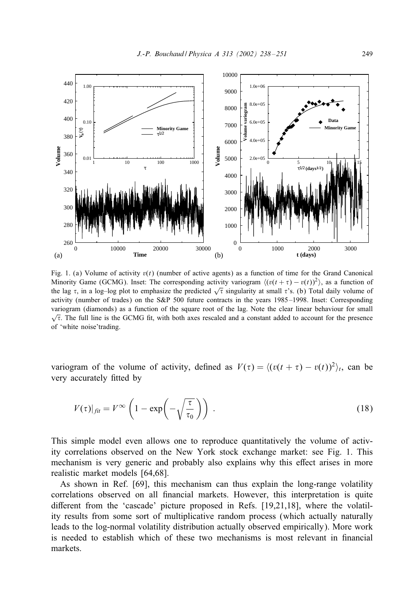

Fig. 1. (a) Volume of activity  $v(t)$  (number of active agents) as a function of time for the Grand Canonical Minority Game (GCMG). Inset: The corresponding activity variogram  $\langle (v(t + \tau) - v(t))^2 \rangle$ , as a function of the lag  $\tau$ , in a log–log plot to emphasize the predicted  $\sqrt{\tau}$  singularity at small  $\tau$ 's. (b) Total daily volume of activity (number of trades) on the S&P 500 future contracts in the years 1985 –1998. Inset: Corresponding variogram (diamonds) as a function of the square root of the lag. Note the clear linear behaviour for small  $\sqrt{\tau}$ . The full line is the GCMG fit, with both axes rescaled and a constant added to account for the presence of 'white noise'trading.

variogram of the volume of activity, defined as  $V(\tau) = \langle (v(t + \tau) - v(t))^2 \rangle_t$ , can be very accurately fitted by

$$
V(\tau)|_{\hat{f}lt} = V^{\infty} \left( 1 - \exp\left( -\sqrt{\frac{\tau}{\tau_0}} \right) \right) . \tag{18}
$$

This simple model even allows one to reproduce quantitatively the volume of activity correlations observed on the New York stock exchange market: see Fig. 1. This mechanism is very generic and probably also explains why this effect arises in more realistic market models [64,68].

As shown in Ref. [69], this mechanism can thus explain the long-range volatility correlations observed on all financial markets. However, this interpretation is quite different from the 'cascade' picture proposed in Refs.  $[19,21,18]$ , where the volatility results from some sort of multiplicative random process (which actually naturally leads to the log-normal volatility distribution actually observed empirically). More work is needed to establish which of these two mechanisms is most relevant in financial markets.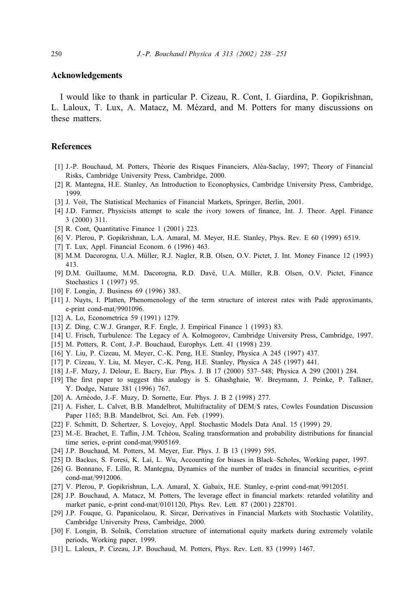#### Acknowledgements

I would like to thank in particular P. Cizeau, R. Cont, I. Giardina, P. Gopikrishnan, L. Laloux, T. Lux, A. Matacz, M. Mézard, and M. Potters for many discussions on these matters.

#### References

- [1] J.-P. Bouchaud, M. Potters, Théorie des Risques Financiers, Aléa-Saclay, 1997; Theory of Financial Risks, Cambridge University Press, Cambridge, 2000.
- [2] R. Mantegna, H.E. Stanley, An Introduction to Econophysics, Cambridge University Press, Cambridge, 1999.
- [3] J. Voit, The Statistical Mechanics of Financial Markets, Springer, Berlin, 2001.
- [4] J.D. Farmer, Physicists attempt to scale the ivory towers of finance, Int. J. Theor. Appl. Finance 3 (2000) 311.
- [5] R. Cont, Quantitative Finance 1 (2001) 223.
- [6] V. Plerou, P. Gopikrishnan, L.A. Amaral, M. Meyer, H.E. Stanley, Phys. Rev. E 60 (1999) 6519.
- [7] T. Lux, Appl. Financial Econom. 6 (1996) 463.
- [8] M.M. Dacorogna, U.A. Müller, R.J. Nagler, R.B. Olsen, O.V. Pictet, J. Int. Money Finance 12 (1993) 413.
- [9] D.M. Guillaume, M.M. Dacorogna, R.D. Davé, U.A. Müller, R.B. Olsen, O.V. Pictet, Finance Stochastics 1 (1997) 95.
- [10] F. Longin, J. Business 69 (1996) 383.
- [11] J. Nuyts, I. Platten, Phenomenology of the term structure of interest rates with Padé approximants, e-print cond-mat/9901096.
- [12] A. Lo, Econometrica 59 (1991) 1279.
- [13] Z. Ding, C.W.J. Granger, R.F. Engle, J. Empirical Finance 1 (1993) 83.
- [14] U. Frisch, Turbulence: The Legacy of A. Kolmogorov, Cambridge University Press, Cambridge, 1997.
- [15] M. Potters, R. Cont, J.-P. Bouchaud, Europhys. Lett. 41 (1998) 239.
- [16] Y. Liu, P. Cizeau, M. Meyer, C.-K. Peng, H.E. Stanley, Physica A 245 (1997) 437.
- [17] P. Cizeau, Y. Liu, M. Meyer, C.-K. Peng, H.E. Stanley, Physica A 245 (1997) 441.
- [18] J.-F. Muzy, J. Delour, E. Bacry, Eur. Phys. J. B 17 (2000) 537–548; Physica A 299 (2001) 284.
- [19] The first paper to suggest this analogy is S. Ghashghaie, W. Breymann, J. Peinke, P. Talkner, Y. Dodge, Nature 381 (1996) 767.
- [20] A. Arnéodo, J.-F. Muzy, D. Sornette, Eur. Phys. J. B 2 (1998) 277.
- [21] A. Fisher, L. Calvet, B.B. Mandelbrot, Multifractality of DEM/\$ rates, Cowles Foundation Discussion Paper 1165; B.B. Mandelbrot, Sci. Am. Feb. (1999).
- [22] F. Schmitt, D. Schertzer, S. Lovejoy, Appl. Stochastic Models Data Anal. 15 (1999) 29.
- [23] M.-E. Brachet, E. Taflin, J.M. Tchéou, Scaling transformation and probability distributions for financial time series, e-print cond-mat/9905169.
- [24] J.P. Bouchaud, M. Potters, M. Meyer, Eur. Phys. J. B 13 (1999) 595.
- [25] D. Backus, S. Foresi, K. Lai, L. Wu, Accounting for biases in Black–Scholes, Working paper, 1997.
- [26] G. Bonnano, F. Lillo, R. Mantegna, Dynamics of the number of trades in nancial securities, e-print cond-mat/9912006.
- [27] V. Plerou, P. Gopikrishnan, L.A. Amaral, X. Gabaix, H.E. Stanley, e-print cond-mat/9912051.
- [28] J.P. Bouchaud, A. Matacz, M. Potters, The leverage effect in financial markets: retarded volatility and market panic, e-print cond-mat/0101120, Phys. Rev. Lett. 87 (2001) 228701.
- [29] J.P. Fouque, G. Papanicolaou, R. Sircar, Derivatives in Financial Markets with Stochastic Volatility, Cambridge University Press, Cambridge, 2000.
- [30] F. Longin, B. Solnik, Correlation structure of international equity markets during extremely volatile periods, Working paper, 1999.
- [31] L. Laloux, P. Cizeau, J.P. Bouchaud, M. Potters, Phys. Rev. Lett. 83 (1999) 1467.